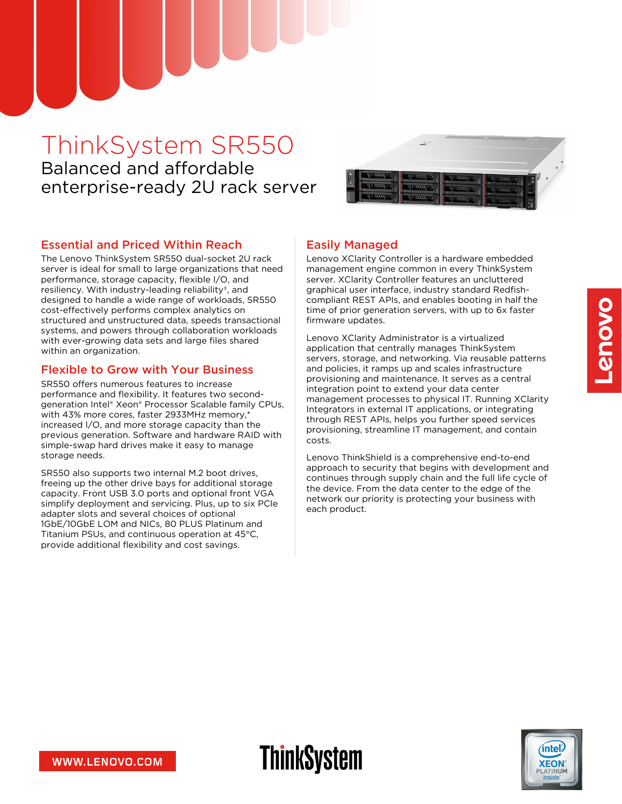# ThinkSystem SR550 Balanced and affordable enterprise-ready 2U rack server



### Essential and Priced Within Reach

The Lenovo ThinkSystem SR550 dual-socket 2U rack server is ideal for small to large organizations that need performance, storage capacity, flexible I/O, and resiliency. With industry-leading reliability†, and designed to handle a wide range of workloads, SR550 cost-effectively performs complex analytics on structured and unstructured data, speeds transactional systems, and powers through collaboration workloads with ever-growing data sets and large files shared within an organization.

### Flexible to Grow with Your Business

SR550 offers numerous features to increase performance and flexibility. It features two secondgeneration Intel® Xeon® Processor Scalable family CPUs, with 43% more cores, faster 2933MHz memory,\* increased I/O, and more storage capacity than the previous generation. Software and hardware RAID with simple-swap hard drives make it easy to manage storage needs.

SR550 also supports two internal M.2 boot drives, freeing up the other drive bays for additional storage capacity. Front USB 3.0 ports and optional front VGA simplify deployment and servicing. Plus, up to six PCIe adapter slots and several choices of optional 1GbE/10GbE LOM and NICs, 80 PLUS Platinum and Titanium PSUs, and continuous operation at 45°C, provide additional flexibility and cost savings.

### Easily Managed

**ThinkSystem** 

Lenovo XClarity Controller is a hardware embedded management engine common in every ThinkSystem server. XClarity Controller features an uncluttered graphical user interface, industry standard Redfishcompliant REST APIs, and enables booting in half the time of prior generation servers, with up to 6x faster firmware updates.

Lenovo XClarity Administrator is a virtualized application that centrally manages ThinkSystem servers, storage, and networking. Via reusable patterns and policies, it ramps up and scales infrastructure provisioning and maintenance. It serves as a central integration point to extend your data center management processes to physical IT. Running XClarity Integrators in external IT applications, or integrating through REST APIs, helps you further speed services provisioning, streamline IT management, and contain costs.

Lenovo ThinkShield is a comprehensive end-to-end approach to security that begins with development and continues through supply chain and the full life cycle of the device. From the data center to the edge of the network our priority is protecting your business with each product.